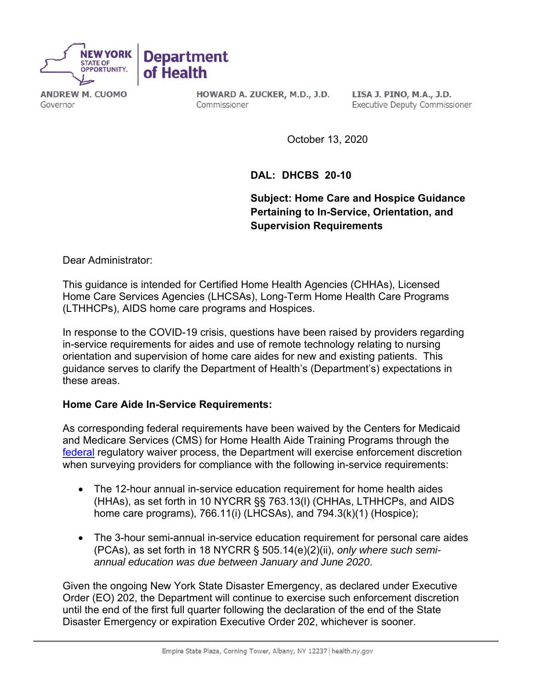

**ANDREW M. CUOMO** Governor

HOWARD A. ZUCKER, M.D., J.D. Commissioner

LISA J. PINO, M.A., J.D. **Executive Deputy Commissioner** 

October 13, 2020

**DAL: DHCBS 20-10** 

**Subject: Home Care and Hospice Guidance Pertaining to In-Service, Orientation, and Supervision Requirements**

Dear Administrator:

This guidance is intended for Certified Home Health Agencies (CHHAs), Licensed Home Care Services Agencies (LHCSAs), Long-Term Home Health Care Programs (LTHHCPs), AIDS home care programs and Hospices.

In response to the COVID-19 crisis, questions have been raised by providers regarding in-service requirements for aides and use of remote technology relating to nursing orientation and supervision of home care aides for new and existing patients. This guidance serves to clarify the Department of Health's (Department's) expectations in these areas.

## **Home Care Aide In-Service Requirements:**

As corresponding federal requirements have been waived by the Centers for Medicaid and Medicare Services (CMS) for Home Health Aide Training Programs through the federal regulatory waiver process, the Department will exercise enforcement discretion when surveying providers for compliance with the following in-service requirements:

- The 12-hour annual in-service education requirement for home health aides (HHAs), as set forth in 10 NYCRR §§ 763.13(l) (CHHAs, LTHHCPs, and AIDS home care programs), 766.11(i) (LHCSAs), and 794.3(k)(1) (Hospice);
- The 3-hour semi-annual in-service education requirement for personal care aides (PCAs), as set forth in 18 NYCRR § 505.14(e)(2)(ii), *only where such semiannual education was due between January and June 2020*.

Given the ongoing New York State Disaster Emergency, as declared under Executive Order (EO) 202, the Department will continue to exercise such enforcement discretion until the end of the first full quarter following the declaration of the end of the State Disaster Emergency or expiration Executive Order 202, whichever is sooner.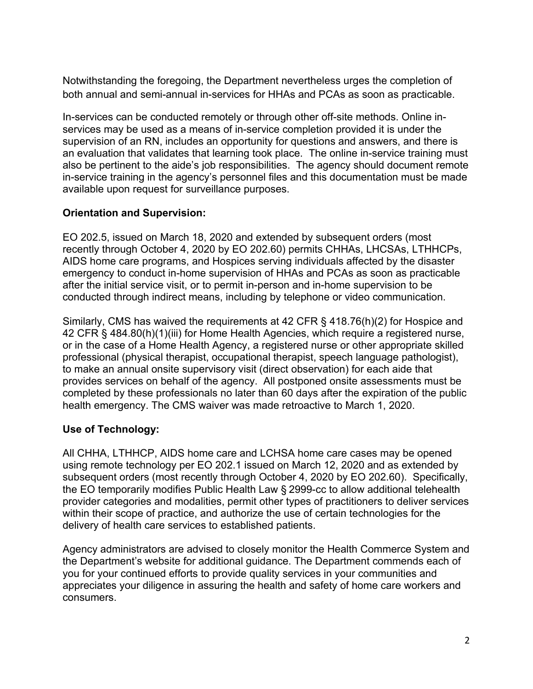Notwithstanding the foregoing, the Department nevertheless urges the completion of both annual and semi-annual in-services for HHAs and PCAs as soon as practicable.

In-services can be conducted remotely or through other off-site methods. Online inservices may be used as a means of in-service completion provided it is under the supervision of an RN, includes an opportunity for questions and answers, and there is an evaluation that validates that learning took place. The online in-service training must also be pertinent to the aide's job responsibilities. The agency should document remote in-service training in the agency's personnel files and this documentation must be made available upon request for surveillance purposes.

## **Orientation and Supervision:**

EO 202.5, issued on March 18, 2020 and extended by subsequent orders (most recently through October 4, 2020 by EO 202.60) permits CHHAs, LHCSAs, LTHHCPs, AIDS home care programs, and Hospices serving individuals affected by the disaster emergency to conduct in-home supervision of HHAs and PCAs as soon as practicable after the initial service visit, or to permit in-person and in-home supervision to be conducted through indirect means, including by telephone or video communication.

Similarly, CMS has waived the requirements at 42 CFR § 418.76(h)(2) for Hospice and 42 CFR § 484.80(h)(1)(iii) for Home Health Agencies, which require a registered nurse, or in the case of a Home Health Agency, a registered nurse or other appropriate skilled professional (physical therapist, occupational therapist, speech language pathologist), to make an annual onsite supervisory visit (direct observation) for each aide that provides services on behalf of the agency. All postponed onsite assessments must be completed by these professionals no later than 60 days after the expiration of the public health emergency. The CMS waiver was made retroactive to March 1, 2020.

## **Use of Technology:**

All CHHA, LTHHCP, AIDS home care and LCHSA home care cases may be opened using remote technology per EO 202.1 issued on March 12, 2020 and as extended by subsequent orders (most recently through October 4, 2020 by EO 202.60). Specifically, the EO temporarily modifies Public Health Law § 2999-cc to allow additional telehealth provider categories and modalities, permit other types of practitioners to deliver services within their scope of practice, and authorize the use of certain technologies for the delivery of health care services to established patients.

Agency administrators are advised to closely monitor the Health Commerce System and the Department's website for additional guidance. The Department commends each of you for your continued efforts to provide quality services in your communities and appreciates your diligence in assuring the health and safety of home care workers and consumers.